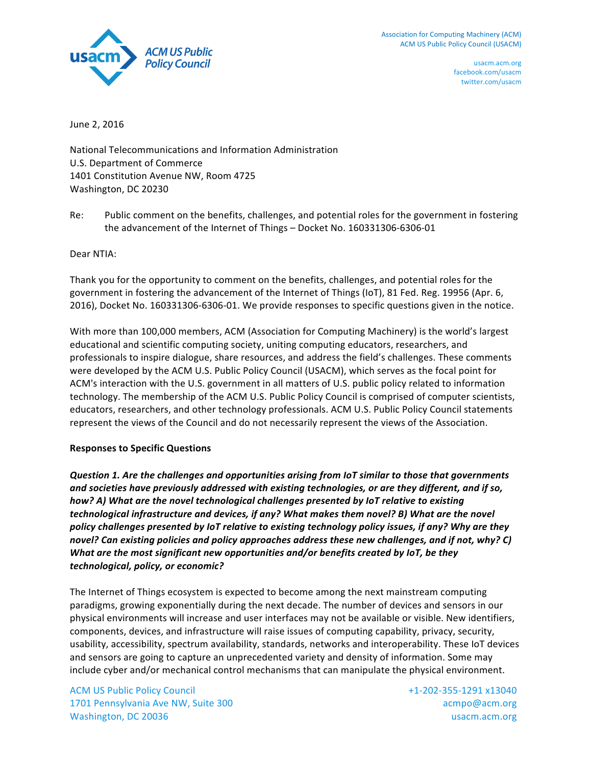

June 2, 2016

National Telecommunications and Information Administration U.S. Department of Commerce 1401 Constitution Avenue NW, Room 4725 Washington, DC 20230

Re: Public comment on the benefits, challenges, and potential roles for the government in fostering the advancement of the Internet of Things - Docket No. 160331306-6306-01

Dear NTIA:

Thank you for the opportunity to comment on the benefits, challenges, and potential roles for the government in fostering the advancement of the Internet of Things (IoT), 81 Fed. Reg. 19956 (Apr. 6, 2016), Docket No. 160331306-6306-01. We provide responses to specific questions given in the notice.

With more than 100,000 members, ACM (Association for Computing Machinery) is the world's largest educational and scientific computing society, uniting computing educators, researchers, and professionals to inspire dialogue, share resources, and address the field's challenges. These comments were developed by the ACM U.S. Public Policy Council (USACM), which serves as the focal point for ACM's interaction with the U.S. government in all matters of U.S. public policy related to information technology. The membership of the ACM U.S. Public Policy Council is comprised of computer scientists, educators, researchers, and other technology professionals. ACM U.S. Public Policy Council statements represent the views of the Council and do not necessarily represent the views of the Association.

#### **Responses to Specific Questions**

*Question 1. Are the challenges and opportunities arising from IoT similar to those that governments* and societies have previously addressed with existing technologies, or are they different, and if so, how? A) What are the novel technological challenges presented by IoT relative to existing *technological infrastructure and devices, if any? What makes them novel? B) What are the novel policy* challenges presented by IoT relative to existing technology policy issues, if any? Why are they *novel?* Can existing policies and policy approaches address these new challenges, and if not, why? C) *What are the most significant new opportunities and/or benefits created by IoT, be they technological, policy, or economic?*

The Internet of Things ecosystem is expected to become among the next mainstream computing paradigms, growing exponentially during the next decade. The number of devices and sensors in our physical environments will increase and user interfaces may not be available or visible. New identifiers, components, devices, and infrastructure will raise issues of computing capability, privacy, security, usability, accessibility, spectrum availability, standards, networks and interoperability. These IoT devices and sensors are going to capture an unprecedented variety and density of information. Some may include cyber and/or mechanical control mechanisms that can manipulate the physical environment.

**ACM US Public Policy Council** 1701 Pennsylvania Ave NW, Suite 300 Washington, DC 20036

+1-202-355-1291 x13040 acmpo@acm.org usacm.acm.org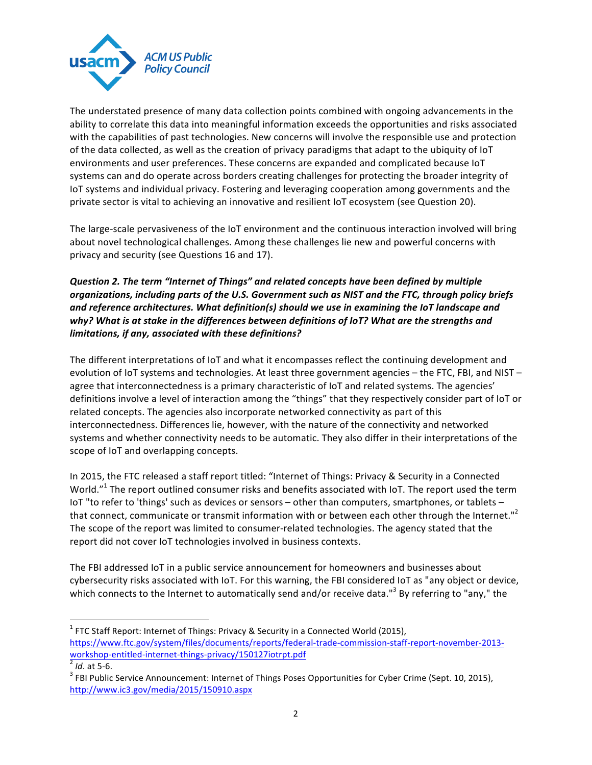

The understated presence of many data collection points combined with ongoing advancements in the ability to correlate this data into meaningful information exceeds the opportunities and risks associated with the capabilities of past technologies. New concerns will involve the responsible use and protection of the data collected, as well as the creation of privacy paradigms that adapt to the ubiquity of loT environments and user preferences. These concerns are expanded and complicated because IoT systems can and do operate across borders creating challenges for protecting the broader integrity of IoT systems and individual privacy. Fostering and leveraging cooperation among governments and the private sector is vital to achieving an innovative and resilient IoT ecosystem (see Question 20).

The large-scale pervasiveness of the IoT environment and the continuous interaction involved will bring about novel technological challenges. Among these challenges lie new and powerful concerns with privacy and security (see Questions 16 and 17).

# *Question 2. The term "Internet of Things" and related concepts have been defined by multiple*  organizations, including parts of the U.S. Government such as NIST and the FTC, through policy briefs and reference architectures. What definition(s) should we use in examining the IoT landscape and why? What is at stake in the differences between definitions of IoT? What are the strengths and limitations, if any, associated with these definitions?

The different interpretations of IoT and what it encompasses reflect the continuing development and evolution of IoT systems and technologies. At least three government agencies – the FTC, FBI, and NIST – agree that interconnectedness is a primary characteristic of IoT and related systems. The agencies' definitions involve a level of interaction among the "things" that they respectively consider part of loT or related concepts. The agencies also incorporate networked connectivity as part of this interconnectedness. Differences lie, however, with the nature of the connectivity and networked systems and whether connectivity needs to be automatic. They also differ in their interpretations of the scope of IoT and overlapping concepts.

In 2015, the FTC released a staff report titled: "Internet of Things: Privacy & Security in a Connected World."<sup>1</sup> The report outlined consumer risks and benefits associated with IoT. The report used the term IoT "to refer to 'things' such as devices or sensors - other than computers, smartphones, or tablets that connect, communicate or transmit information with or between each other through the Internet."<sup>2</sup> The scope of the report was limited to consumer-related technologies. The agency stated that the report did not cover IoT technologies involved in business contexts.

The FBI addressed IoT in a public service announcement for homeowners and businesses about cybersecurity risks associated with IoT. For this warning, the FBI considered IoT as "any object or device, which connects to the Internet to automatically send and/or receive data."<sup>3</sup> By referring to "any," the

<u> 1989 - Jan Samuel Barbara, margaret e</u>

 $1$  FTC Staff Report: Internet of Things: Privacy & Security in a Connected World (2015), https://www.ftc.gov/system/files/documents/reports/federal-trade-commission-staff-report-november-2013 workshop-entitled-internet-things-privacy/150127iotrpt.pdf<br>
<sup>2</sup> *Id*. at 5-6.<br>
<sup>3</sup> FBI Public Service Announcement: Internet of Things Poses Opportunities for Cyber Crime (Sept. 10, 2015),

http://www.ic3.gov/media/2015/150910.aspx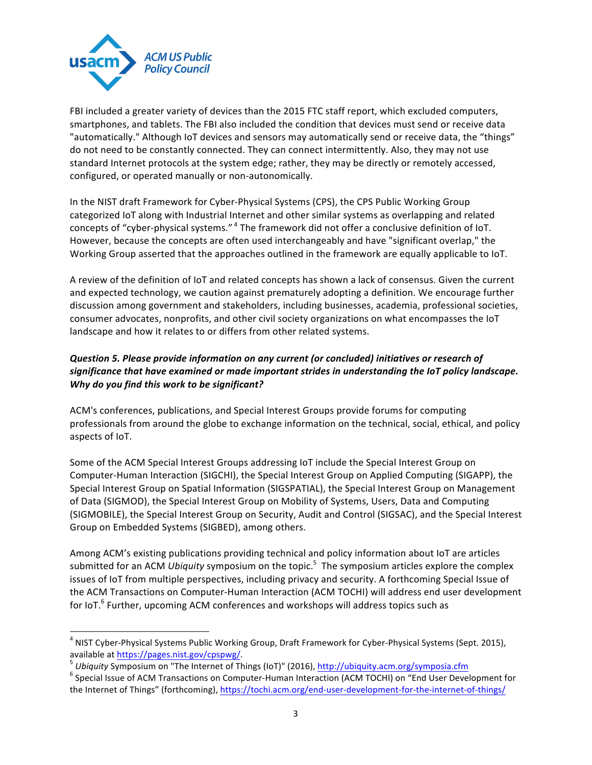

<u> 1989 - Jan Samuel Barbara, margaret e</u>

FBI included a greater variety of devices than the 2015 FTC staff report, which excluded computers, smartphones, and tablets. The FBI also included the condition that devices must send or receive data "automatically." Although IoT devices and sensors may automatically send or receive data, the "things" do not need to be constantly connected. They can connect intermittently. Also, they may not use standard Internet protocols at the system edge; rather, they may be directly or remotely accessed, configured, or operated manually or non-autonomically.

In the NIST draft Framework for Cyber-Physical Systems (CPS), the CPS Public Working Group categorized IoT along with Industrial Internet and other similar systems as overlapping and related concepts of "cyber-physical systems."<sup>4</sup> The framework did not offer a conclusive definition of IoT. However, because the concepts are often used interchangeably and have "significant overlap," the Working Group asserted that the approaches outlined in the framework are equally applicable to IoT.

A review of the definition of IoT and related concepts has shown a lack of consensus. Given the current and expected technology, we caution against prematurely adopting a definition. We encourage further discussion among government and stakeholders, including businesses, academia, professional societies, consumer advocates, nonprofits, and other civil society organizations on what encompasses the IoT landscape and how it relates to or differs from other related systems.

# **Question 5. Please provide information on any current (or concluded) initiatives or research of** significance that have examined or made important strides in understanding the IoT policy landscape. Why do you find this work to be significant?

ACM's conferences, publications, and Special Interest Groups provide forums for computing professionals from around the globe to exchange information on the technical, social, ethical, and policy aspects of IoT.

Some of the ACM Special Interest Groups addressing IoT include the Special Interest Group on Computer-Human Interaction (SIGCHI), the Special Interest Group on Applied Computing (SIGAPP), the Special Interest Group on Spatial Information (SIGSPATIAL), the Special Interest Group on Management of Data (SIGMOD), the Special Interest Group on Mobility of Systems, Users, Data and Computing (SIGMOBILE), the Special Interest Group on Security, Audit and Control (SIGSAC), and the Special Interest Group on Embedded Systems (SIGBED), among others.

Among ACM's existing publications providing technical and policy information about IoT are articles submitted for an ACM *Ubiquity* symposium on the topic.<sup>5</sup> The symposium articles explore the complex issues of IoT from multiple perspectives, including privacy and security. A forthcoming Special Issue of the ACM Transactions on Computer-Human Interaction (ACM TOCHI) will address end user development for IoT.<sup>6</sup> Further, upcoming ACM conferences and workshops will address topics such as

 $4$  NIST Cyber-Physical Systems Public Working Group, Draft Framework for Cyber-Physical Systems (Sept. 2015),

available at <u>https://pages.nist.gov/cpspwg/</u>.<br><sup>5</sup> Ubiquity Symposium on "The Internet of Things (IoT)" (2016), <u>http://ubiquity.acm.org/symposia.cfm</u><br><sup>6</sup> Special Issue of ACM Transactions on Computer-Human Interaction (AC the Internet of Things" (forthcoming), https://tochi.acm.org/end-user-development-for-the-internet-of-things/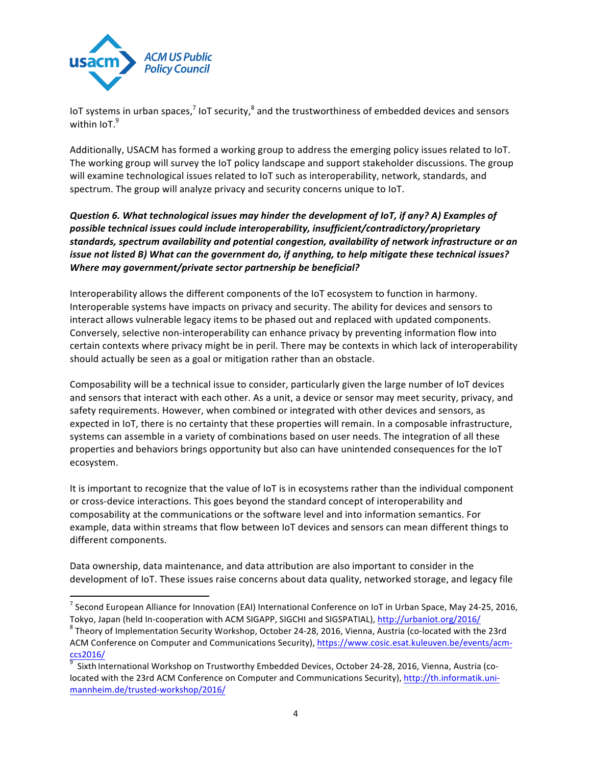

<u> 1989 - Jan Samuel Barbara, margaret e</u>

IoT systems in urban spaces,<sup>7</sup> IoT security,<sup>8</sup> and the trustworthiness of embedded devices and sensors within IoT.<sup>9</sup>

Additionally, USACM has formed a working group to address the emerging policy issues related to IoT. The working group will survey the IoT policy landscape and support stakeholder discussions. The group will examine technological issues related to IoT such as interoperability, network, standards, and spectrum. The group will analyze privacy and security concerns unique to IoT.

*Question* 6. What technological issues may hinder the development of IoT, if any? A) Examples of possible technical issues could include interoperability, insufficient/contradictory/proprietary standards, spectrum availability and potential congestion, availability of network infrastructure or an *issue not listed B)* What can the government do, if anything, to help mitigate these technical issues? *Where may government/private sector partnership be beneficial?* 

Interoperability allows the different components of the IoT ecosystem to function in harmony. Interoperable systems have impacts on privacy and security. The ability for devices and sensors to interact allows vulnerable legacy items to be phased out and replaced with updated components. Conversely, selective non-interoperability can enhance privacy by preventing information flow into certain contexts where privacy might be in peril. There may be contexts in which lack of interoperability should actually be seen as a goal or mitigation rather than an obstacle.

Composability will be a technical issue to consider, particularly given the large number of IoT devices and sensors that interact with each other. As a unit, a device or sensor may meet security, privacy, and safety requirements. However, when combined or integrated with other devices and sensors, as expected in IoT, there is no certainty that these properties will remain. In a composable infrastructure, systems can assemble in a variety of combinations based on user needs. The integration of all these properties and behaviors brings opportunity but also can have unintended consequences for the IoT ecosystem.

It is important to recognize that the value of IoT is in ecosystems rather than the individual component or cross-device interactions. This goes beyond the standard concept of interoperability and composability at the communications or the software level and into information semantics. For example, data within streams that flow between IoT devices and sensors can mean different things to different components.

Data ownership, data maintenance, and data attribution are also important to consider in the development of IoT. These issues raise concerns about data quality, networked storage, and legacy file

 $^7$  Second European Alliance for Innovation (EAI) International Conference on IoT in Urban Space, May 24-25, 2016,

Tokyo, Japan (held In-cooperation with ACM SIGAPP, SIGCHI and SIGSPATIAL), http://urbaniot.org/2016/ 8 Theory of Implementation Security Workshop, October 24-28, 2016, Vienna, Austria (co-located with the 23rd ACM Conference on Computer and Communications Security), https://www.cosic.esat.kuleuven.be/events/acmccs2016/

<sup>9</sup> Sixth International Workshop on Trustworthy Embedded Devices, October 24-28, 2016, Vienna, Austria (colocated with the 23rd ACM Conference on Computer and Communications Security), http://th.informatik.unimannheim.de/trusted-workshop/2016/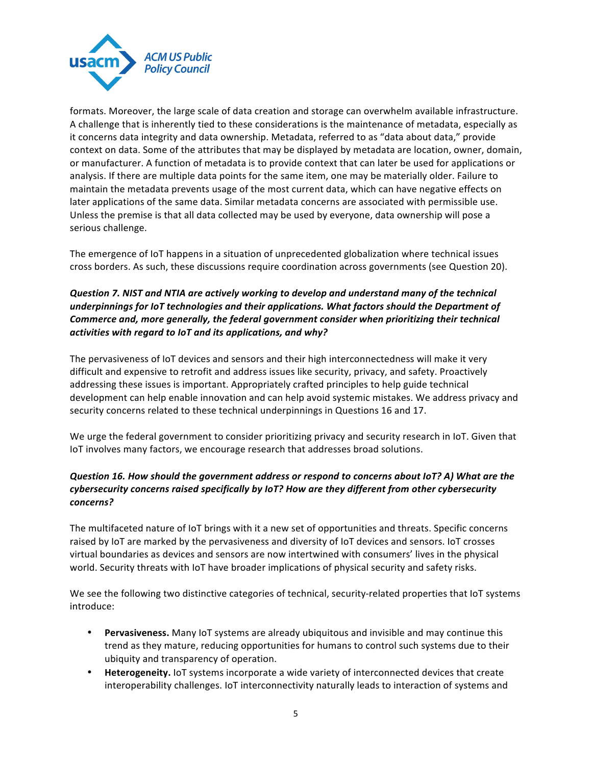

formats. Moreover, the large scale of data creation and storage can overwhelm available infrastructure. A challenge that is inherently tied to these considerations is the maintenance of metadata, especially as it concerns data integrity and data ownership. Metadata, referred to as "data about data," provide context on data. Some of the attributes that may be displayed by metadata are location, owner, domain, or manufacturer. A function of metadata is to provide context that can later be used for applications or analysis. If there are multiple data points for the same item, one may be materially older. Failure to maintain the metadata prevents usage of the most current data, which can have negative effects on later applications of the same data. Similar metadata concerns are associated with permissible use. Unless the premise is that all data collected may be used by everyone, data ownership will pose a serious challenge.

The emergence of IoT happens in a situation of unprecedented globalization where technical issues cross borders. As such, these discussions require coordination across governments (see Question 20).

## **Question 7. NIST and NTIA are actively working to develop and understand many of the technical** underpinnings for IoT technologies and their applications. What factors should the Department of *Commerce and, more generally, the federal government consider when prioritizing their technical* activities with regard to IoT and its applications, and why?

The pervasiveness of IoT devices and sensors and their high interconnectedness will make it very difficult and expensive to retrofit and address issues like security, privacy, and safety. Proactively addressing these issues is important. Appropriately crafted principles to help guide technical development can help enable innovation and can help avoid systemic mistakes. We address privacy and security concerns related to these technical underpinnings in Questions 16 and 17.

We urge the federal government to consider prioritizing privacy and security research in IoT. Given that IoT involves many factors, we encourage research that addresses broad solutions.

# *Question 16. How should the government address or respond to concerns about IoT? A) What are the* cybersecurity concerns raised specifically by IoT? How are they different from other cybersecurity *concerns?*

The multifaceted nature of IoT brings with it a new set of opportunities and threats. Specific concerns raised by IoT are marked by the pervasiveness and diversity of IoT devices and sensors. IoT crosses virtual boundaries as devices and sensors are now intertwined with consumers' lives in the physical world. Security threats with IoT have broader implications of physical security and safety risks.

We see the following two distinctive categories of technical, security-related properties that IoT systems introduce:

- Pervasiveness. Many IoT systems are already ubiquitous and invisible and may continue this trend as they mature, reducing opportunities for humans to control such systems due to their ubiquity and transparency of operation.
- **Heterogeneity.** IoT systems incorporate a wide variety of interconnected devices that create interoperability challenges. IoT interconnectivity naturally leads to interaction of systems and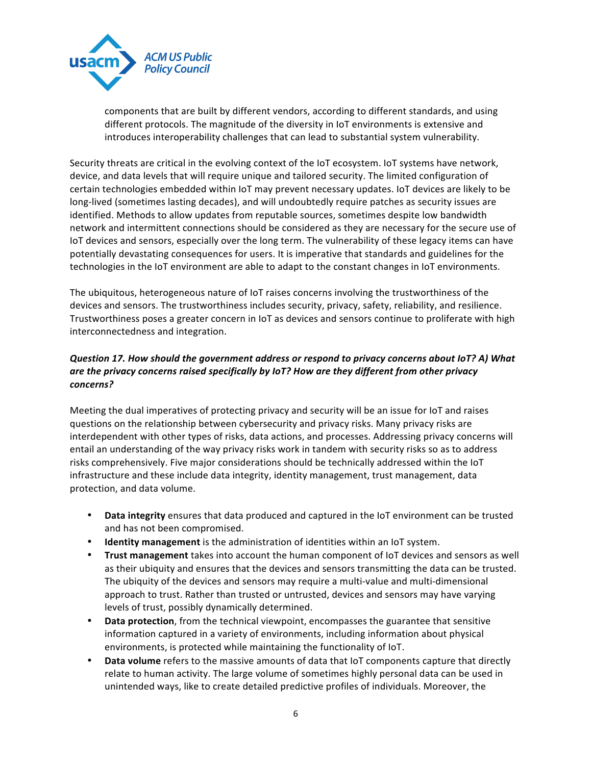

components that are built by different vendors, according to different standards, and using different protocols. The magnitude of the diversity in IoT environments is extensive and introduces interoperability challenges that can lead to substantial system vulnerability.

Security threats are critical in the evolving context of the IoT ecosystem. IoT systems have network, device, and data levels that will require unique and tailored security. The limited configuration of certain technologies embedded within IoT may prevent necessary updates. IoT devices are likely to be long-lived (sometimes lasting decades), and will undoubtedly require patches as security issues are identified. Methods to allow updates from reputable sources, sometimes despite low bandwidth network and intermittent connections should be considered as they are necessary for the secure use of IoT devices and sensors, especially over the long term. The vulnerability of these legacy items can have potentially devastating consequences for users. It is imperative that standards and guidelines for the technologies in the IoT environment are able to adapt to the constant changes in IoT environments.

The ubiquitous, heterogeneous nature of IoT raises concerns involving the trustworthiness of the devices and sensors. The trustworthiness includes security, privacy, safety, reliability, and resilience. Trustworthiness poses a greater concern in IoT as devices and sensors continue to proliferate with high interconnectedness and integration.

# *Question 17. How should the government address or respond to privacy concerns about IoT? A) What*  are the privacy concerns raised specifically by IoT? How are they different from other privacy *concerns?*

Meeting the dual imperatives of protecting privacy and security will be an issue for IoT and raises questions on the relationship between cybersecurity and privacy risks. Many privacy risks are interdependent with other types of risks, data actions, and processes. Addressing privacy concerns will entail an understanding of the way privacy risks work in tandem with security risks so as to address risks comprehensively. Five major considerations should be technically addressed within the IoT infrastructure and these include data integrity, identity management, trust management, data protection, and data volume.

- Data integrity ensures that data produced and captured in the IoT environment can be trusted and has not been compromised.
- **Identity management** is the administration of identities within an IoT system.
- **Trust management** takes into account the human component of IoT devices and sensors as well as their ubiquity and ensures that the devices and sensors transmitting the data can be trusted. The ubiquity of the devices and sensors may require a multi-value and multi-dimensional approach to trust. Rather than trusted or untrusted, devices and sensors may have varying levels of trust, possibly dynamically determined.
- **Data protection**, from the technical viewpoint, encompasses the guarantee that sensitive information captured in a variety of environments, including information about physical environments, is protected while maintaining the functionality of IoT.
- **Data volume** refers to the massive amounts of data that IoT components capture that directly relate to human activity. The large volume of sometimes highly personal data can be used in unintended ways, like to create detailed predictive profiles of individuals. Moreover, the